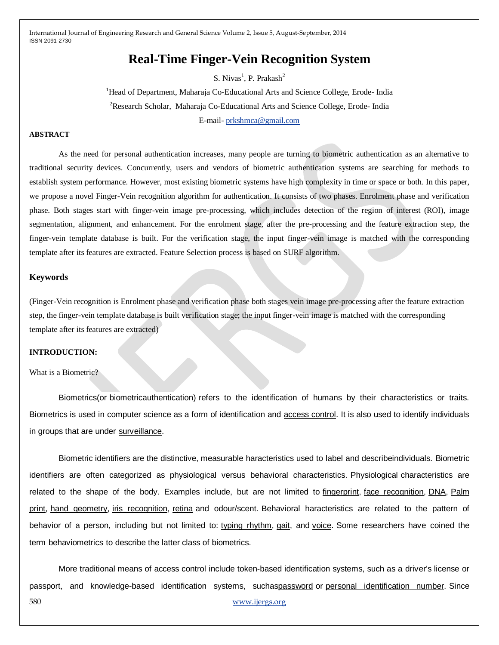# **Real-Time Finger-Vein Recognition System**

S. Nivas<sup>1</sup>, P. Prakash<sup>2</sup>

<sup>1</sup>Head of Department, Maharaja Co-Educational Arts and Science College, Erode- India <sup>2</sup>Research Scholar, Maharaja Co-Educational Arts and Science College, Erode- India

E-mail- [prkshmca@gmail.com](mailto:prkshmca@gmail.com)

# **ABSTRACT**

As the need for personal authentication increases, many people are turning to biometric authentication as an alternative to traditional security devices. Concurrently, users and vendors of biometric authentication systems are searching for methods to establish system performance. However, most existing biometric systems have high complexity in time or space or both. In this paper, we propose a novel Finger-Vein recognition algorithm for authentication. It consists of two phases. Enrolment phase and verification phase. Both stages start with finger-vein image pre-processing, which includes detection of the region of interest (ROI), image segmentation, alignment, and enhancement. For the enrolment stage, after the pre-processing and the feature extraction step, the finger-vein template database is built. For the verification stage, the input finger-vein image is matched with the corresponding template after its features are extracted. Feature Selection process is based on SURF algorithm.

#### **Keywords**

(Finger-Vein recognition is Enrolment phase and verification phase both stages vein image pre-processing after the feature extraction step, the finger-vein template database is built verification stage; the input finger-vein image is matched with the corresponding template after its features are extracted)

# **INTRODUCTION:**

What is a Biometric?

Biometrics(or biometricauthentication) refers to the identification of humans by their characteristics or traits. Biometrics is used in computer science as a form of identification and [access control.](http://en.wikipedia.org/wiki/Access_control) It is also used to identify individuals in groups that are under [surveillance.](http://en.wikipedia.org/wiki/Surveillance)

Biometric identifiers are the distinctive, measurable haracteristics used to label and describeindividuals. Biometric identifiers are often categorized as physiological versus behavioral characteristics. Physiological characteristics are related to the shape of the body. Examples include, but are not limited to [fingerprint,](http://en.wikipedia.org/wiki/Fingerprint) [face recognition,](http://en.wikipedia.org/wiki/Facial_recognition_system) [DNA,](http://en.wikipedia.org/wiki/DNA) Palm [print,](http://en.wikipedia.org/wiki/Palm_print) [hand geometry,](http://en.wikipedia.org/wiki/Hand_geometry) [iris recognition,](http://en.wikipedia.org/wiki/Iris_recognition) [retina](http://en.wikipedia.org/wiki/Retinal_scan) and odour/scent. Behavioral haracteristics are related to the pattern of behavior of a person, including but not limited to: [typing rhythm,](http://en.wikipedia.org/wiki/Keystroke_dynamics) [gait,](http://en.wikipedia.org/wiki/Gait_analysis) and [voice.](http://en.wikipedia.org/wiki/Speaker_recognition) Some researchers have coined the term behaviometrics to describe the latter class of biometrics.

580 [www.ijergs.org](http://www.ijergs.org/) More traditional means of access control include token-based identification systems, such as a [driver's license](http://en.wikipedia.org/wiki/Driver%27s_license) or passport, and knowledge-based identification systems, sucha[spassword](http://en.wikipedia.org/wiki/Password) or [personal identification number.](http://en.wikipedia.org/wiki/Personal_identification_number) Since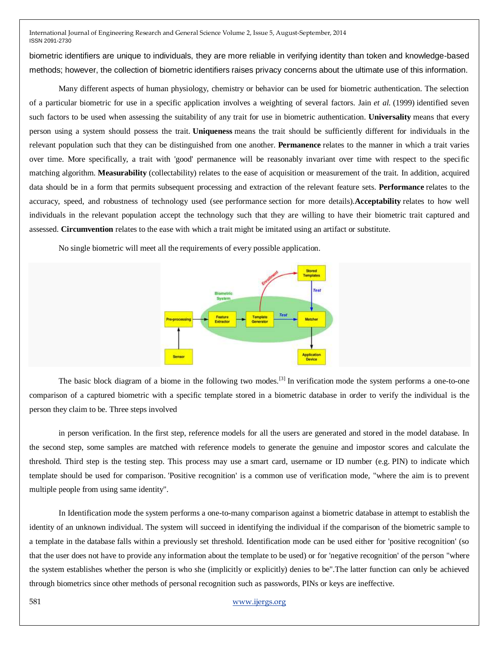biometric identifiers are unique to individuals, they are more reliable in verifying identity than token and knowledge-based methods; however, the collection of biometric identifiers raises privacy concerns about the ultimate use of this information.

Many different aspects of human physiology, chemistry or behavior can be used for biometric authentication. The selection of a particular biometric for use in a specific application involves a weighting of several factors. Jain *et al.* (1999) identified seven such factors to be used when assessing the suitability of any trait for use in biometric authentication. **Universality** means that every person using a system should possess the trait. **Uniqueness** means the trait should be sufficiently different for individuals in the relevant population such that they can be distinguished from one another. **Permanence** relates to the manner in which a trait varies over time. More specifically, a trait with 'good' permanence will be reasonably invariant over time with respect to the specific matching algorithm. **Measurability** (collectability) relates to the ease of acquisition or measurement of the trait. In addition, acquired data should be in a form that permits subsequent processing and extraction of the relevant feature sets. **Performance** relates to the accuracy, speed, and robustness of technology used (see [performance](http://en.wikipedia.org/wiki/Biometrics#Performance) section for more details).**Acceptability** relates to how well individuals in the relevant population accept the technology such that they are willing to have their biometric trait captured and assessed. **Circumvention** relates to the ease with which a trait might be imitated using an artifact or substitute.

No single biometric will meet all the requirements of every possible application.



The basic block diagram of a biome in the following two modes.<sup>[\[3\]](http://en.wikipedia.org/wiki/Biometrics#cite_note-Jain1-4)</sup> In [verification](http://en.wikipedia.org/wiki/Authentication) mode the system performs a one-to-one comparison of a captured biometric with a specific template stored in a biometric database in order to verify the individual is the person they claim to be. Three steps involved

in person verification. In the first step, reference models for all the users are generated and stored in the model database. In the second step, some samples are matched with reference models to generate the genuine and impostor scores and calculate the threshold. Third step is the testing step. This process may use a [smart card,](http://en.wikipedia.org/wiki/Smart_card) username or ID number (e.g. [PIN\)](http://en.wikipedia.org/wiki/Personal_identification_number) to indicate which template should be used for comparison. 'Positive recognition' is a common use of verification mode, "where the aim is to prevent multiple people from using same identity".

In Identification mode the system performs a one-to-many comparison against a biometric database in attempt to establish the identity of an unknown individual. The system will succeed in identifying the individual if the comparison of the biometric sample to a template in the [database](http://en.wikipedia.org/wiki/Database) falls within a previously set threshold. Identification mode can be used either for 'positive recognition' (so that the user does not have to provide any information about the template to be used) or for 'negative recognition' of the person "where the system establishes whether the person is who she (implicitly or explicitly) denies to be".The latter function can only be achieved through biometrics since other methods of personal recognition such as [passwords,](http://en.wikipedia.org/wiki/Passwords) PINs or keys are ineffective.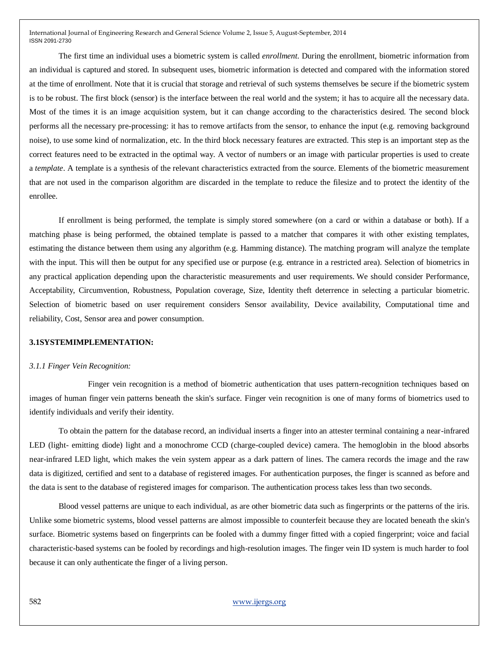The first time an individual uses a biometric system is called *enrollment*. During the enrollment, biometric information from an individual is captured and stored. In subsequent uses, biometric information is detected and compared with the information stored at the time of enrollment. Note that it is crucial that storage and retrieval of such systems themselves be secure if the biometric system is to be robust. The first block (sensor) is the interface between the real world and the system; it has to acquire all the necessary data. Most of the times it is an image acquisition system, but it can change according to the characteristics desired. The second block performs all the necessary pre-processing: it has to remove [artifacts](http://en.wikipedia.org/wiki/Artifact_(error)) from the sensor, to enhance the input (e.g. removing background noise), to use some kind of [normalization,](http://en.wikipedia.org/wiki/Normalization_(image_processing)) etc. In the third block necessary features are extracted. This step is an important step as the correct features need to be extracted in the optimal way. A vector of numbers or an image with particular properties is used to create a *template*. A template is a synthesis of the relevant characteristics extracted from the source. Elements of the biometric measurement that are not used in the comparison algorithm are discarded in the template to reduce the filesize and to protect the identity of the enrollee.

If enrollment is being performed, the template is simply stored somewhere (on a card or within a database or both). If a matching phase is being performed, the obtained template is passed to a matcher that compares it with other existing templates, estimating the distance between them using any algorithm (e.g. [Hamming distance\)](http://en.wikipedia.org/wiki/Hamming_distance). The matching program will analyze the template with the input. This will then be output for any specified use or purpose (e.g. entrance in a restricted area). Selection of biometrics in any practical application depending upon the characteristic measurements and user requirements. We should consider Performance, Acceptability, Circumvention, Robustness, Population coverage, Size, Identity theft deterrence in selecting a particular biometric. Selection of biometric based on user requirement considers Sensor availability, Device availability, Computational time and reliability, Cost, Sensor area and power consumption.

## **3.1SYSTEMIMPLEMENTATION:**

#### *3.1.1 Finger Vein Recognition:*

Finger vein recognition is a method of biometric authentication that uses pattern-recognition techniques based on images of human finger [vein](http://en.wikipedia.org/wiki/Vein) patterns beneath the skin's surface. Finger vein recognition is one of many forms of biometrics used to identify individuals and verify their identity.

To obtain the pattern for the database record, an individual inserts a finger into an attester terminal containing a near-infrared LED (light- emitting diode) light and a monochrome CCD (charge-coupled device) camera. The hemoglobin in the blood absorbs near-infrared LED light, which makes the vein system appear as a dark pattern of lines. The camera records the image and the raw data is digitized, certified and sent to a database of registered images. For authentication purposes, the finger is scanned as before and the data is sent to the database of registered images for comparison. The authentication process takes less than two seconds.

Blood vessel patterns are unique to each individual, as are other biometric data such as fingerprints or the patterns of the iris. Unlike some biometric systems, blood vessel patterns are almost impossible to counterfeit because they are located beneath the skin's surface. Biometric systems based on fingerprints can be fooled with a dummy finger fitted with a copied fingerprint; voice and facial characteristic-based systems can be fooled by recordings and high-resolution images. The finger vein ID system is much harder to fool because it can only authenticate the finger of a living person.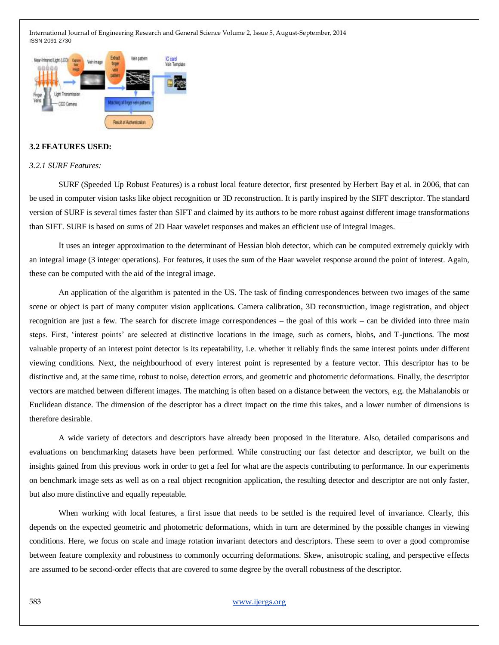

#### **3.2 FEATURES USED:**

## *3.2.1 SURF Features:*

SURF (Speeded Up Robust Features) is a robust local feature detector, first presented by [Herbert Bay](http://en.wikipedia.org/wiki/Herbert_Bay) et al. in 2006, that can be used in [computer vision](http://en.wikipedia.org/wiki/Computer_vision) tasks like [object recognition](http://en.wikipedia.org/wiki/Object_recognition) or [3D reconstruction.](http://en.wikipedia.org/wiki/3D_reconstruction) It is partly inspired by the [SIFT](http://en.wikipedia.org/wiki/Scale-invariant_feature_transform) descriptor. The standard version of SURF is several times faster than SIFT and claimed by its authors to be more robust against different image transformations than SIFT. SURF is based on sums of [2D Haar wavelet](http://en.wikipedia.org/wiki/Haar-like_features) responses and makes an efficient use of [integral images.](http://en.wikipedia.org/wiki/Integral_image)

It uses an integer approximation to the [determinant of Hessian](http://en.wikipedia.org/wiki/Blob_detection#The_determinant_of_the_Hessian) [blob detector,](http://en.wikipedia.org/wiki/Blob_detection) which can be computed extremely quickly with an integral image (3 integer operations). For features, it uses the sum of the Haar wavelet response around the point of interest. Again, these can be computed with the aid of the integral image.

An application of the algorithm is patented in the US. The task of finding correspondences between two images of the same scene or object is part of many computer vision applications. Camera calibration, 3D reconstruction, image registration, and object recognition are just a few. The search for discrete image correspondences – the goal of this work – can be divided into three main steps. First, "interest points" are selected at distinctive locations in the image, such as corners, blobs, and T-junctions. The most valuable property of an interest point detector is its repeatability, i.e. whether it reliably finds the same interest points under different viewing conditions. Next, the neighbourhood of every interest point is represented by a feature vector. This descriptor has to be distinctive and, at the same time, robust to noise, detection errors, and geometric and photometric deformations. Finally, the descriptor vectors are matched between different images. The matching is often based on a distance between the vectors, e.g. the Mahalanobis or Euclidean distance. The dimension of the descriptor has a direct impact on the time this takes, and a lower number of dimensions is therefore desirable.

A wide variety of detectors and descriptors have already been proposed in the literature. Also, detailed comparisons and evaluations on benchmarking datasets have been performed. While constructing our fast detector and descriptor, we built on the insights gained from this previous work in order to get a feel for what are the aspects contributing to performance. In our experiments on benchmark image sets as well as on a real object recognition application, the resulting detector and descriptor are not only faster, but also more distinctive and equally repeatable.

When working with local features, a first issue that needs to be settled is the required level of invariance. Clearly, this depends on the expected geometric and photometric deformations, which in turn are determined by the possible changes in viewing conditions. Here, we focus on scale and image rotation invariant detectors and descriptors. These seem to over a good compromise between feature complexity and robustness to commonly occurring deformations. Skew, anisotropic scaling, and perspective effects are assumed to be second-order effects that are covered to some degree by the overall robustness of the descriptor.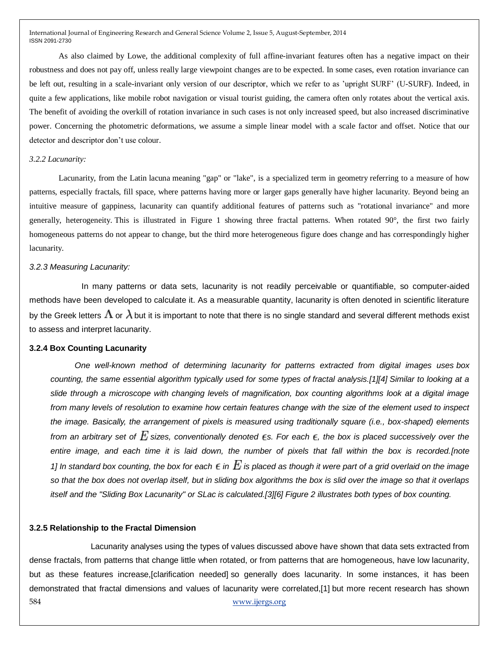As also claimed by Lowe, the additional complexity of full affine-invariant features often has a negative impact on their robustness and does not pay off, unless really large viewpoint changes are to be expected. In some cases, even rotation invariance can be left out, resulting in a scale-invariant only version of our descriptor, which we refer to as "upright SURF" (U-SURF). Indeed, in quite a few applications, like mobile robot navigation or visual tourist guiding, the camera often only rotates about the vertical axis. The benefit of avoiding the overkill of rotation invariance in such cases is not only increased speed, but also increased discriminative power. Concerning the photometric deformations, we assume a simple linear model with a scale factor and offset. Notice that our detector and descriptor don"t use colour.

#### *3.2.2 Lacunarity:*

Lacunarity, from the Latin [lacuna](http://en.wiktionary.org/wiki/lacuna) meaning "gap" or "lake", is a specialized term in [geometry](http://en.wikipedia.org/wiki/Geometry) referring to a measure of how patterns, especially [fractals,](http://en.wikipedia.org/wiki/Fractal) fill space, where patterns having more or larger gaps generally have higher lacunarity. Beyond being an intuitive measure of gappiness, lacunarity can quantify additional features of patterns such as "rotational invariance" and more generally, heterogeneity. This is illustrated in Figure 1 showing three fractal patterns. When rotated 90°, the first two fairly homogeneous patterns do not appear to change, but the third more heterogeneous figure does change and has correspondingly higher lacunarity.

#### *3.2.3 Measuring Lacunarity:*

 In many patterns or data sets, lacunarity is not readily perceivable or quantifiable, so computer-aided methods have been developed to calculate it. As a measurable quantity, lacunarity is often denoted in scientific literature bv the Greek letters  $\Lambda$  or  $\lambda$  but it is important to note that there is no single standard and several different methods exist to assess and interpret lacunarity.

#### **3.2.4 Box Counting Lacunarity**

 *One well-known method of determining lacunarity for patterns extracted from digital images uses [box](http://en.wikipedia.org/wiki/Box_counting)  [counting,](http://en.wikipedia.org/wiki/Box_counting) the same essential algorithm typically used for some types of [fractal analysis.](http://en.wikipedia.org/wiki/Fractal_analysis)[\[1\]\[4\]](http://en.wikipedia.org/wiki/Lacunarity#cite_note-smith-1) Similar to looking at a slide through a microscope with changing levels of magnification, box counting algorithms look at a digital image from many levels of resolution to examine how certain features change with the size of the element used to inspect the image. Basically, the arrangement of pixels is measured using traditionally square (i.e., box-shaped) elements from an arbitrary set of*  $E$  *sizes, conventionally denoted*  $\epsilon$ s. For each  $\epsilon$ , the box is placed successively over the *entire image, and each time it is laid down, the number of pixels that fall within the box is recorded[.\[note](http://en.wikipedia.org/wiki/Lacunarity#cite_note-6)  [1\]](http://en.wikipedia.org/wiki/Lacunarity#cite_note-6) In standard box counting, the box for each*  $\epsilon$  *in*  $E$  *is placed as though it were part of a grid overlaid on the image so that the box does not overlap itself, but in sliding box algorithms the box is slid over the image so that it overlaps itself and the "Sliding Box Lacunarity" or SLac is calculated[.\[3\]\[6\]](http://en.wikipedia.org/wiki/Lacunarity#cite_note-plotnick-3) Figure 2 illustrates both types of box counting.*

### **3.2.5 Relationship to the Fractal Dimension**

584 [www.ijergs.org](http://www.ijergs.org/) Lacunarity analyses using the types of values discussed above have shown that data sets extracted from dense fractals, from patterns that change little when rotated, or from patterns that are homogeneous, have low lacunarity, but as these features increase,[\[clarification needed\]](http://en.wikipedia.org/wiki/Wikipedia:Please_clarify) so generally does lacunarity. In some instances, it has been demonstrated that fractal dimensions and values of lacunarity were correlated[,\[1\]](http://en.wikipedia.org/wiki/Lacunarity#cite_note-smith-1) but more recent research has shown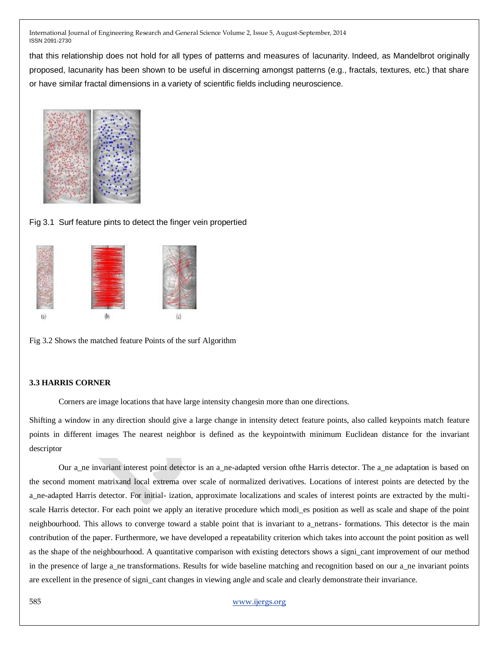that this relationship does not hold for all types of patterns and measures of lacunarity. Indeed, as Mandelbrot originally proposed, lacunarity has been shown to be useful in discerning amongst patterns (e.g., fractals, textures, etc.) that share or have similar [fractal dimensions](http://en.wikipedia.org/wiki/Fractal_dimension) in a variety of scientific fields including neuroscience.



## Fig 3.1 Surf feature pints to detect the finger vein propertied



Fig 3.2 Shows the matched feature Points of the surf Algorithm

## **3.3 HARRIS CORNER**

Corners are image locations that have large intensity changesin more than one directions.

Shifting a window in any direction should give a large change in intensity detect feature points, also called keypoints match feature points in different images The nearest neighbor is defined as the keypointwith minimum Euclidean distance for the invariant descriptor

Our a ne invariant interest point detector is an a ne-adapted version of the Harris detector. The a ne adaptation is based on the second moment matrixand local extrema over scale of normalized derivatives. Locations of interest points are detected by the a\_ne-adapted Harris detector. For initial- ization, approximate localizations and scales of interest points are extracted by the multiscale Harris detector. For each point we apply an iterative procedure which modi\_es position as well as scale and shape of the point neighbourhood. This allows to converge toward a stable point that is invariant to a\_netrans- formations. This detector is the main contribution of the paper. Furthermore, we have developed a repeatability criterion which takes into account the point position as well as the shape of the neighbourhood. A quantitative comparison with existing detectors shows a signi\_cant improvement of our method in the presence of large a ne transformations. Results for wide baseline matching and recognition based on our a\_ne invariant points are excellent in the presence of signi\_cant changes in viewing angle and scale and clearly demonstrate their invariance.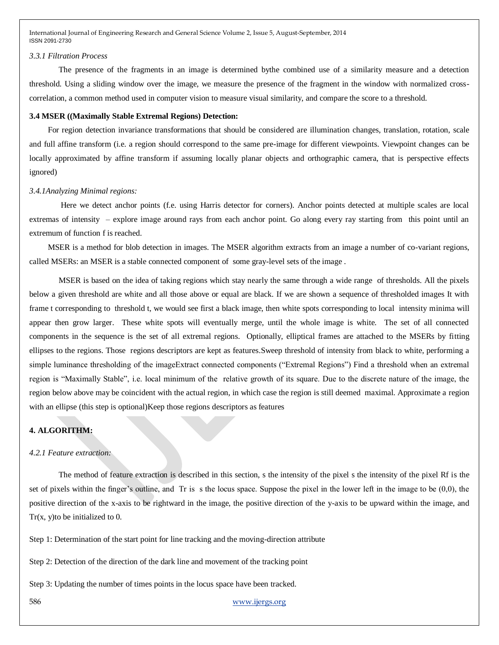#### *3.3.1 Filtration Process*

The presence of the fragments in an image is determined bythe combined use of a similarity measure and a detection threshold. Using a sliding window over the image, we measure the presence of the fragment in the window with normalized crosscorrelation, a common method used in computer vision to measure visual similarity, and compare the score to a threshold.

#### **3.4 MSER ((Maximally Stable Extremal Regions) Detection:**

 For region detection invariance transformations that should be considered are illumination changes, translation, rotation, scale and full affine transform (i.e. a region should correspond to the same pre-image for different viewpoints. Viewpoint changes can be locally approximated by affine transform if assuming locally planar objects and orthographic camera, that is perspective effects ignored)

#### *3.4.1Analyzing Minimal regions:*

Here we detect anchor points (f.e. using Harris detector for corners). Anchor points detected at multiple scales are local extremas of intensity – explore image around rays from each anchor point. Go along every ray starting from this point until an extremum of function f is reached.

 MSER is a method for blob detection in images. The MSER algorithm extracts from an image a number of co-variant regions, called MSERs: an MSER is a stable connected component of some gray-level sets of the image .

MSER is based on the idea of taking regions which stay nearly the same through a wide range of thresholds. All the pixels below a given threshold are white and all those above or equal are black. If we are shown a sequence of thresholded images It with frame t corresponding to threshold t, we would see first a black image, then white spots corresponding to local intensity minima will appear then grow larger. These white spots will eventually merge, until the whole image is white. The set of all connected components in the sequence is the set of all extremal regions. Optionally, elliptical frames are attached to the MSERs by fitting ellipses to the regions. Those regions descriptors are kept as features.Sweep threshold of intensity from black to white, performing a simple luminance thresholding of the imageExtract connected components ("Extremal Regions") Find a threshold when an extremal region is "Maximally Stable", i.e. local minimum of the relative growth of its square. Due to the discrete nature of the image, the region below above may be coincident with the actual region, in which case the region is still deemed maximal. Approximate a region with an ellipse (this step is optional) Keep those regions descriptors as features

## **4. ALGORITHM:**

#### *4.2.1 Feature extraction:*

The method of feature extraction is described in this section, s the intensity of the pixel s the intensity of the pixel Rf is the set of pixels within the finger"s outline, and Tr is s the locus space. Suppose the pixel in the lower left in the image to be (0,0), the positive direction of the x-axis to be rightward in the image, the positive direction of the y-axis to be upward within the image, and  $Tr(x, y)$  to be initialized to 0.

Step 1: Determination of the start point for line tracking and the moving-direction attribute

Step 2: Detection of the direction of the dark line and movement of the tracking point

Step 3: Updating the number of times points in the locus space have been tracked.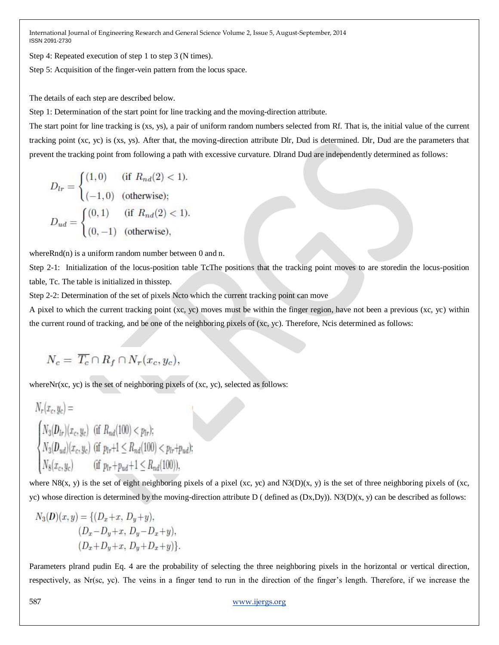Step 4: Repeated execution of step 1 to step 3 (N times).

Step 5: Acquisition of the finger-vein pattern from the locus space.

The details of each step are described below.

Step 1: Determination of the start point for line tracking and the moving-direction attribute.

The start point for line tracking is (xs, ys), a pair of uniform random numbers selected from Rf. That is, the initial value of the current tracking point (xc, yc) is (xs, ys). After that, the moving-direction attribute Dlr, Dud is determined. Dlr, Dud are the parameters that prevent the tracking point from following a path with excessive curvature. Dlrand Dud are independently determined as follows:

$$
D_{lr} = \begin{cases} (1,0) & (if R_{nd}(2) < 1). \\ (-1,0) & (otherwise); \end{cases}
$$

$$
D_{ud} = \begin{cases} (0,1) & (if R_{nd}(2) < 1). \\ (0,-1) & (otherwise), \end{cases}
$$

whereRnd(n) is a uniform random number between 0 and n.

Step 2-1: Initialization of the locus-position table TcThe positions that the tracking point moves to are storedin the locus-position table, Tc. The table is initialized in thisstep.

Step 2-2: Determination of the set of pixels Ncto which the current tracking point can move

A pixel to which the current tracking point (xc, yc) moves must be within the finger region, have not been a previous (xc, yc) within the current round of tracking, and be one of the neighboring pixels of (xc, yc). Therefore, Ncis determined as follows:

$$
N_c = \overline{T_c} \cap R_f \cap N_r(x_c, y_c),
$$

whereNr(xc, yc) is the set of neighboring pixels of (xc, yc), selected as follows:

$$
N_r(x_c, y_c) =
$$
  
\n
$$
\begin{cases} N_3(D_{lr})(x_c, y_c) & \text{(if } R_{nd}(100) < p_{lr});\\ N_3(D_{ud})(x_c, y_c) & \text{(if } p_{lr}+1 \le R_{nd}(100) < p_{lr}+p_{ud});\\ N_8(x_c, y_c) & \text{(if } p_{lr}+p_{ud}+1 \le R_{nd}(100)), \end{cases}
$$

where  $N8(x, y)$  is the set of eight neighboring pixels of a pixel (xc, yc) and  $N3(D)(x, y)$  is the set of three neighboring pixels of (xc, yc) whose direction is determined by the moving-direction attribute D ( defined as  $(Dx, Dy)$ ). N3 $(D)(x, y)$  can be described as follows:

$$
N_3(D)(x, y) = \{ (D_x + x, D_y + y),
$$
  
\n
$$
(D_x - D_y + x, D_y - D_x + y),
$$
  
\n
$$
(D_x + D_y + x, D_y + D_x + y) \}
$$

Parameters plrand pudin Eq. 4 are the probability of selecting the three neighboring pixels in the horizontal or vertical direction, respectively, as Nr(sc, yc). The veins in a finger tend to run in the direction of the finger"s length. Therefore, if we increase the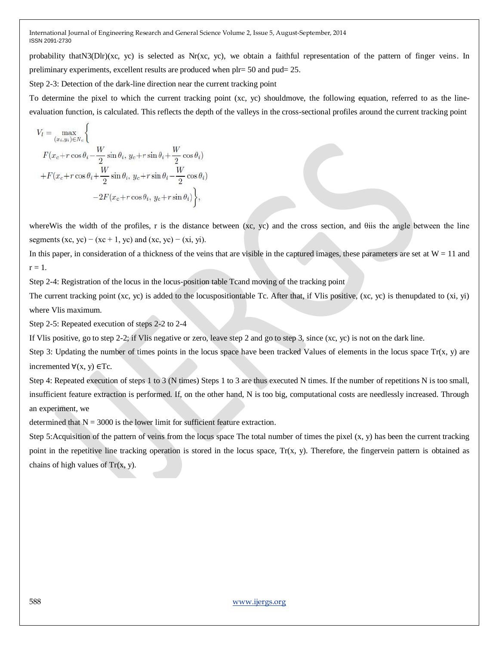probability thatN3(Dlr)(xc, yc) is selected as Nr(xc, yc), we obtain a faithful representation of the pattern of finger veins. In preliminary experiments, excellent results are produced when plr= 50 and pud= 25.

Step 2-3: Detection of the dark-line direction near the current tracking point

To determine the pixel to which the current tracking point (xc, yc) shouldmove, the following equation, referred to as the lineevaluation function, is calculated. This reflects the depth of the valleys in the cross-sectional profiles around the current tracking point

$$
V_{l} = \max_{(x_{i}, y_{i}) \in N_{c}} \Biggl\{
$$
  
\n
$$
F(x_{c} + r \cos \theta_{i} - \frac{W}{2} \sin \theta_{i}, y_{c} + r \sin \theta_{i} + \frac{W}{2} \cos \theta_{i})
$$
  
\n
$$
+ F(x_{c} + r \cos \theta_{i} + \frac{W}{2} \sin \theta_{i}, y_{c} + r \sin \theta_{i} - \frac{W}{2} \cos \theta_{i})
$$
  
\n
$$
-2F(x_{c} + r \cos \theta_{i}, y_{c} + r \sin \theta_{i}) \Biggr\},
$$

whereWis the width of the profiles, r is the distance between (xc, yc) and the cross section, and θiis the angle between the line segments (xc, yc) – (xc + 1, yc) and (xc, yc) – (xi, yi).

In this paper, in consideration of a thickness of the veins that are visible in the captured images, these parameters are set at  $W = 11$  and  $r = 1$ .

Step 2-4: Registration of the locus in the locus-position table Tcand moving of the tracking point

The current tracking point (xc, yc) is added to the locuspositiontable Tc. After that, if Vlis positive, (xc, yc) is thenupdated to (xi, yi) where Vlis maximum.

Step 2-5: Repeated execution of steps 2-2 to 2-4

If Vlis positive, go to step 2-2; if Vlis negative or zero, leave step 2 and go to step 3, since (xc, yc) is not on the dark line.

Step 3: Updating the number of times points in the locus space have been tracked Values of elements in the locus space  $Tr(x, y)$  are incremented  $\forall$ (x, y) ∈Tc.

Step 4: Repeated execution of steps 1 to 3 (N times) Steps 1 to 3 are thus executed N times. If the number of repetitions N is too small, insufficient feature extraction is performed. If, on the other hand, N is too big, computational costs are needlessly increased. Through an experiment, we

determined that  $N = 3000$  is the lower limit for sufficient feature extraction.

Step 5: Acquisition of the pattern of veins from the locus space. The total number of times the pixel  $(x, y)$  has been the current tracking point in the repetitive line tracking operation is stored in the locus space,  $Tr(x, y)$ . Therefore, the fingervein pattern is obtained as chains of high values of  $Tr(x, y)$ .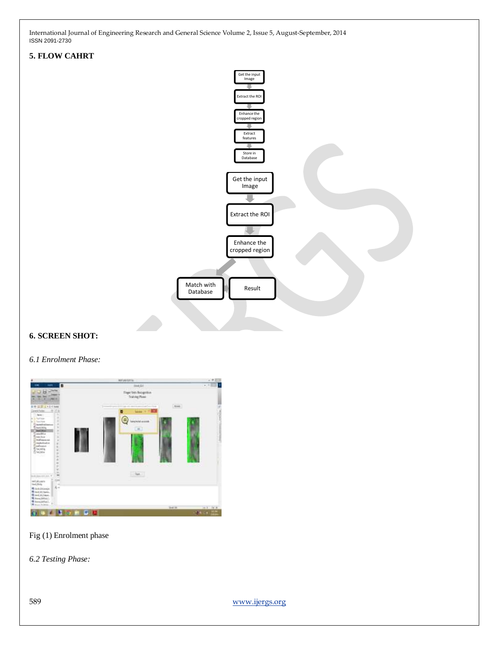# **5. FLOW CAHRT**



# **6. SCREEN SHOT:**

# *6.1 Enrolment Phase:*



Fig (1) Enrolment phase

*6.2 Testing Phase:*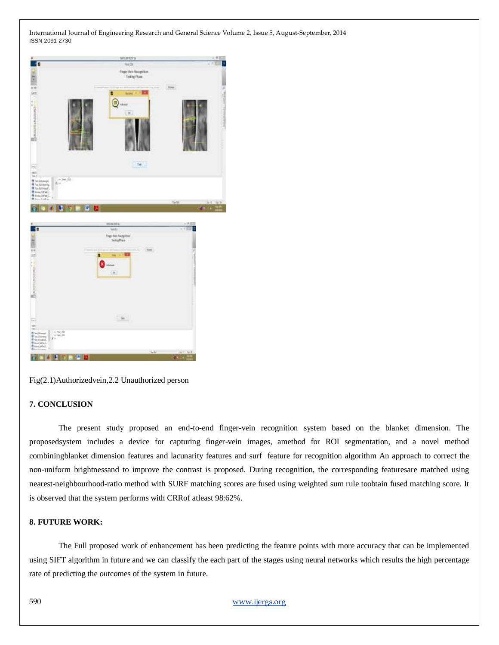F

|                                                                                                                                                                                                                                                                                                                                                                                                        | MILB UITH                                                               | 4                                 |
|--------------------------------------------------------------------------------------------------------------------------------------------------------------------------------------------------------------------------------------------------------------------------------------------------------------------------------------------------------------------------------------------------------|-------------------------------------------------------------------------|-----------------------------------|
| п                                                                                                                                                                                                                                                                                                                                                                                                      | tecon<br><b><i><u>Finger With Recognition</u></i></b><br>Texting Plusar | 69                                |
|                                                                                                                                                                                                                                                                                                                                                                                                        | $-1 - 1 - 1$<br><b>STAR</b><br>$L_{\text{DM}} = 100$<br>۵               | toe.                              |
|                                                                                                                                                                                                                                                                                                                                                                                                        | $\odot$<br>$\frac{1}{2}$                                                |                                   |
| <b>Bancrometer</b> : 22 PER                                                                                                                                                                                                                                                                                                                                                                            |                                                                         |                                   |
|                                                                                                                                                                                                                                                                                                                                                                                                        |                                                                         |                                   |
|                                                                                                                                                                                                                                                                                                                                                                                                        |                                                                         |                                   |
| $\sim$<br>m/i                                                                                                                                                                                                                                                                                                                                                                                          | fair                                                                    |                                   |
| bal'ii.<br>79.766, 223<br><b>B</b> Sc <i>Holes</i> in<br>再 10<br><b>CHERLONG</b>                                                                                                                                                                                                                                                                                                                       |                                                                         |                                   |
| <b>Williams</b><br>Williams (Minkl)<br>Williams (Minkl)<br><b>Bauchster</b>                                                                                                                                                                                                                                                                                                                            |                                                                         | for the<br>ji t                   |
| n                                                                                                                                                                                                                                                                                                                                                                                                      | $\mathbf{z}$ $\mathbf{z}$                                               |                                   |
| Ð                                                                                                                                                                                                                                                                                                                                                                                                      | WOMEN'S<br>34,02                                                        | $-91$<br>$\times$ 1 $\times$<br>t |
|                                                                                                                                                                                                                                                                                                                                                                                                        | <b><i>Engi bin Notgotter</i></b><br>- Temp Plaza                        |                                   |
| <b>Milli i</b> , Il remove                                                                                                                                                                                                                                                                                                                                                                             | h.                                                                      |                                   |
|                                                                                                                                                                                                                                                                                                                                                                                                        | a,<br>i.                                                                |                                   |
|                                                                                                                                                                                                                                                                                                                                                                                                        |                                                                         |                                   |
| ă                                                                                                                                                                                                                                                                                                                                                                                                      |                                                                         |                                   |
|                                                                                                                                                                                                                                                                                                                                                                                                        | $-146$                                                                  |                                   |
|                                                                                                                                                                                                                                                                                                                                                                                                        |                                                                         |                                   |
| m<br>w<br>tik)                                                                                                                                                                                                                                                                                                                                                                                         |                                                                         |                                   |
| $\frac{1}{\pi} \frac{2\pi \omega_{\rm c} \sin \theta}{2\pi \omega_{\rm c} \sin \theta}$<br>$\begin{tabular}{ c c c } \hline 0 & 0 & 0 & 0 & 0 \\ \hline \hline 1 & 0 & 0 & 0 & 0 \\ \hline 0 & 0 & 0 & 0 & 0 \\ \hline 0 & 0 & 0 & 0 & 0 \\ \hline \end{tabular}$<br>$\begin{tabular}{ c c } \hline 0 & $n_{\rm max}$, and $n_{\rm s}$,} \\ \hline 0 & $n_{\rm max}$, and $n_{\rm s}$,} \end{tabular}$ |                                                                         |                                   |

Fig(2.1)Authorizedvein,2.2 Unauthorized person

# **7. CONCLUSION**

The present study proposed an end-to-end finger-vein recognition system based on the blanket dimension. The proposedsystem includes a device for capturing finger-vein images, amethod for ROI segmentation, and a novel method combiningblanket dimension features and lacunarity features and surf feature for recognition algorithm An approach to correct the non-uniform brightnessand to improve the contrast is proposed. During recognition, the corresponding featuresare matched using nearest-neighbourhood-ratio method with SURF matching scores are fused using weighted sum rule toobtain fused matching score. It is observed that the system performs with CRRof atleast 98:62%.

# **8. FUTURE WORK:**

The Full proposed work of enhancement has been predicting the feature points with more accuracy that can be implemented using SIFT algorithm in future and we can classify the each part of the stages using neural networks which results the high percentage rate of predicting the outcomes of the system in future.